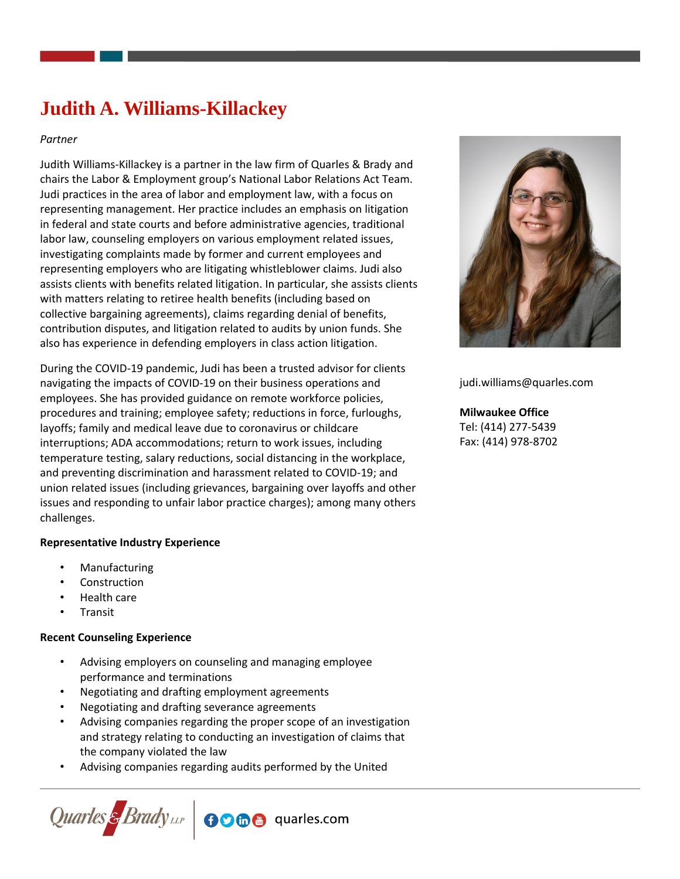# **Judith A. Williams-Killackey**

## *Partner*

Judith Williams-Killackey is a partner in the law firm of Quarles & Brady and chairs the Labor & Employment group's National Labor Relations Act Team. Judi practices in the area of labor and employment law, with a focus on representing management. Her practice includes an emphasis on litigation in federal and state courts and before administrative agencies, traditional labor law, counseling employers on various employment related issues, investigating complaints made by former and current employees and representing employers who are litigating whistleblower claims. Judi also assists clients with benefits related litigation. In particular, she assists clients with matters relating to retiree health benefits (including based on collective bargaining agreements), claims regarding denial of benefits, contribution disputes, and litigation related to audits by union funds. She also has experience in defending employers in class action litigation.

During the COVID-19 pandemic, Judi has been a trusted advisor for clients navigating the impacts of COVID-19 on their business operations and employees. She has provided guidance on remote workforce policies, procedures and training; employee safety; reductions in force, furloughs, layoffs; family and medical leave due to coronavirus or childcare interruptions; ADA accommodations; return to work issues, including temperature testing, salary reductions, social distancing in the workplace, and preventing discrimination and harassment related to COVID-19; and union related issues (including grievances, bargaining over layoffs and other issues and responding to unfair labor practice charges); among many others challenges.

## **Representative Industry Experience**

- **Manufacturing**
- **Construction**
- Health care
- **Transit**

## **Recent Counseling Experience**

- Advising employers on counseling and managing employee performance and terminations
- Negotiating and drafting employment agreements
- Negotiating and drafting severance agreements
- Advising companies regarding the proper scope of an investigation and strategy relating to conducting an investigation of claims that the company violated the law
- Advising companies regarding audits performed by the United





judi.williams@quarles.com

**Milwaukee Office** Tel: (414) 277-5439 Fax: (414) 978-8702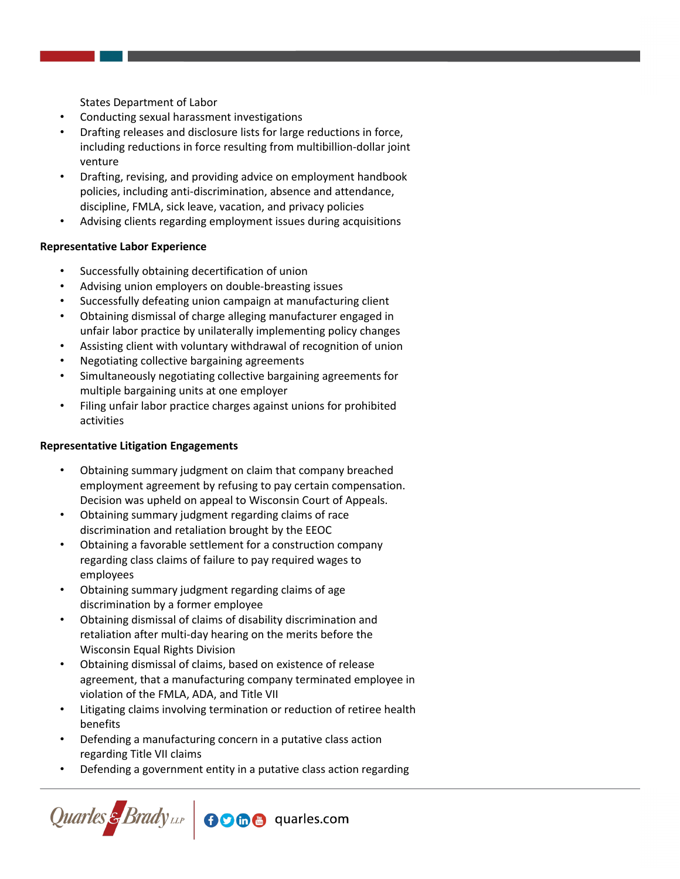States Department of Labor

- Conducting sexual harassment investigations
- Drafting releases and disclosure lists for large reductions in force, including reductions in force resulting from multibillion-dollar joint venture
- Drafting, revising, and providing advice on employment handbook policies, including anti-discrimination, absence and attendance, discipline, FMLA, sick leave, vacation, and privacy policies
- Advising clients regarding employment issues during acquisitions

## **Representative Labor Experience**

- Successfully obtaining decertification of union
- Advising union employers on double-breasting issues
- Successfully defeating union campaign at manufacturing client
- Obtaining dismissal of charge alleging manufacturer engaged in unfair labor practice by unilaterally implementing policy changes
- Assisting client with voluntary withdrawal of recognition of union
- Negotiating collective bargaining agreements
- Simultaneously negotiating collective bargaining agreements for multiple bargaining units at one employer
- Filing unfair labor practice charges against unions for prohibited activities

## **Representative Litigation Engagements**

- Obtaining summary judgment on claim that company breached employment agreement by refusing to pay certain compensation. Decision was upheld on appeal to Wisconsin Court of Appeals.
- Obtaining summary judgment regarding claims of race discrimination and retaliation brought by the EEOC
- Obtaining a favorable settlement for a construction company regarding class claims of failure to pay required wages to employees
- Obtaining summary judgment regarding claims of age discrimination by a former employee
- Obtaining dismissal of claims of disability discrimination and retaliation after multi-day hearing on the merits before the Wisconsin Equal Rights Division
- Obtaining dismissal of claims, based on existence of release agreement, that a manufacturing company terminated employee in violation of the FMLA, ADA, and Title VII
- Litigating claims involving termination or reduction of retiree health benefits
- Defending a manufacturing concern in a putative class action regarding Title VII claims
- Defending a government entity in a putative class action regarding